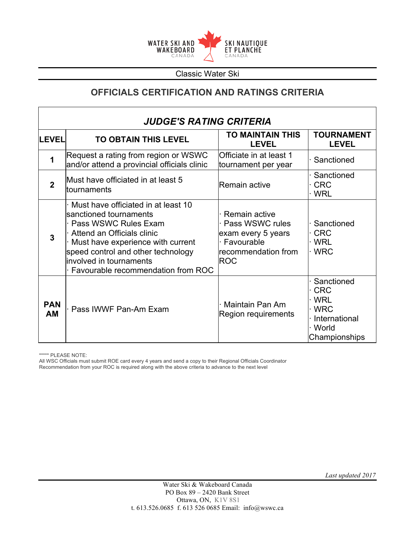

# **OFFICIALS CERTIFICATION AND RATINGS CRITERIA**

| <b>JUDGE'S RATING CRITERIA</b> |                                                                                                                                                                                                                                                                     |                                                                                                             |                                                                                           |
|--------------------------------|---------------------------------------------------------------------------------------------------------------------------------------------------------------------------------------------------------------------------------------------------------------------|-------------------------------------------------------------------------------------------------------------|-------------------------------------------------------------------------------------------|
| <b>LEVEL</b>                   | <b>TO OBTAIN THIS LEVEL</b>                                                                                                                                                                                                                                         | TO MAINTAIN THIS<br><b>LEVEL</b>                                                                            | <b>TOURNAMENT</b><br><b>LEVEL</b>                                                         |
| 1                              | Request a rating from region or WSWC<br>and/or attend a provincial officials clinic                                                                                                                                                                                 | Officiate in at least 1<br>tournament per year                                                              | Sanctioned                                                                                |
| $\mathbf 2$                    | Must have officiated in at least 5<br>tournaments                                                                                                                                                                                                                   | Remain active                                                                                               | Sanctioned<br><b>CRC</b><br>· WRL                                                         |
| $\overline{3}$                 | Must have officiated in at least 10<br>sanctioned tournaments<br>· Pass WSWC Rules Exam<br>Attend an Officials clinic<br>Must have experience with current<br>speed control and other technology<br>involved in tournaments<br>· Favourable recommendation from ROC | Remain active<br>Pass WSWC rules<br>exam every 5 years<br>· Favourable<br>recommendation from<br><b>ROC</b> | Sanctioned<br>$\cdot$ CRC<br>· WRL<br>· WRC                                               |
| <b>PAN</b><br><b>AM</b>        | Pass IWWF Pan-Am Exam                                                                                                                                                                                                                                               | Maintain Pan Am<br>Region requirements                                                                      | Sanctioned<br><b>CRC</b><br>· WRL<br>· WRC<br>· International<br>· World<br>Championships |

\*\*\*\*\* PLEASE NOTE:

All WSC Officials must submit ROE card every 4 years and send a copy to their Regional Officials Coordinator Recommendation from your ROC is required along with the above criteria to advance to the next level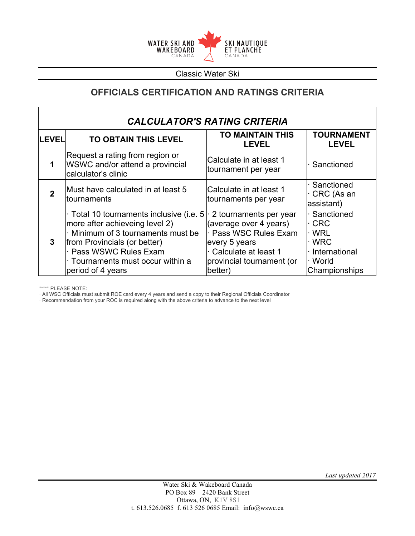

## **OFFICIALS CERTIFICATION AND RATINGS CRITERIA**

| <b>CALCULATOR'S RATING CRITERIA</b> |                                                                                                                                                                                                                                |                                                                                                                                                          |                                                                                          |
|-------------------------------------|--------------------------------------------------------------------------------------------------------------------------------------------------------------------------------------------------------------------------------|----------------------------------------------------------------------------------------------------------------------------------------------------------|------------------------------------------------------------------------------------------|
| <b>LEVEL</b>                        | <b>TO OBTAIN THIS LEVEL</b>                                                                                                                                                                                                    | <b>TO MAINTAIN THIS</b><br><b>LEVEL</b>                                                                                                                  | <b>TOURNAMENT</b><br><b>LEVEL</b>                                                        |
| 1                                   | Request a rating from region or<br>WSWC and/or attend a provincial<br>calculator's clinic                                                                                                                                      | Calculate in at least 1<br>tournament per year                                                                                                           | Sanctioned                                                                               |
|                                     | Must have calculated in at least 5<br>tournaments                                                                                                                                                                              | Calculate in at least 1<br>tournaments per year                                                                                                          | · Sanctioned<br>· CRC (As an<br>assistant)                                               |
| $\mathbf{3}$                        | Total 10 tournaments inclusive (i.e. 5<br>more after achieveing level 2)<br>· Minimum of 3 tournaments must be<br>from Provincials (or better)<br>Pass WSWC Rules Exam<br>Tournaments must occur within a<br>period of 4 years | 2 tournaments per year<br>(average over 4 years)<br>Pass WSC Rules Exam<br>every 5 years<br>Calculate at least 1<br>provincial tournament (or<br>better) | Sanctioned<br>· CRC<br>∙ WRL<br>$\cdot$ WRC<br>International<br>· World<br>Championships |

\*\*\*\*\* PLEASE NOTE:

· All WSC Officials must submit ROE card every 4 years and send a copy to their Regional Officials Coordinator

· Recommendation from your ROC is required along with the above criteria to advance to the next level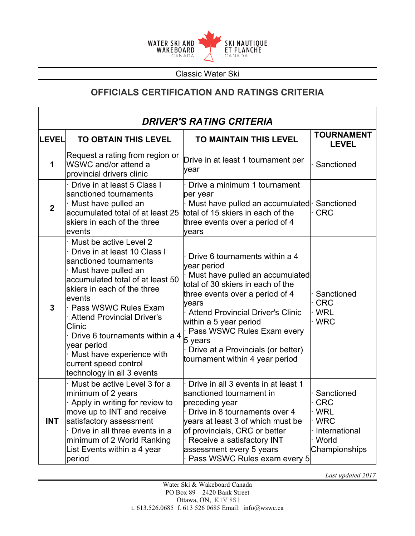

### **OFFICIALS CERTIFICATION AND RATINGS CRITERIA**

| <b>DRIVER'S RATING CRITERIA</b> |                                                                                                                                                                                                                                                                                                                                                                                                    |                                                                                                                                                                                                                                                                                                                                                           |                                                                                       |
|---------------------------------|----------------------------------------------------------------------------------------------------------------------------------------------------------------------------------------------------------------------------------------------------------------------------------------------------------------------------------------------------------------------------------------------------|-----------------------------------------------------------------------------------------------------------------------------------------------------------------------------------------------------------------------------------------------------------------------------------------------------------------------------------------------------------|---------------------------------------------------------------------------------------|
| <b>LEVEL</b>                    | <b>TO OBTAIN THIS LEVEL</b>                                                                                                                                                                                                                                                                                                                                                                        | TO MAINTAIN THIS LEVEL                                                                                                                                                                                                                                                                                                                                    | <b>TOURNAMENT</b><br><b>LEVEL</b>                                                     |
| 1                               | Request a rating from region or<br>WSWC and/or attend a<br>provincial drivers clinic                                                                                                                                                                                                                                                                                                               | Drive in at least 1 tournament per<br>year                                                                                                                                                                                                                                                                                                                | Sanctioned                                                                            |
| $\overline{2}$                  | Drive in at least 5 Class I<br>sanctioned tournaments<br>· Must have pulled an<br>accumulated total of at least 25<br>skiers in each of the three<br>events                                                                                                                                                                                                                                        | Drive a minimum 1 tournament<br>per year<br>Must have pulled an accumulated Sanctioned<br>total of 15 skiers in each of the<br>three events over a period of 4<br>vears                                                                                                                                                                                   | <b>CRC</b>                                                                            |
| 3                               | Must be active Level 2<br>Drive in at least 10 Class I<br>sanctioned tournaments<br>Must have pulled an<br>accumulated total of at least 50<br>skiers in each of the three<br>events<br>· Pass WSWC Rules Exam<br><b>Attend Provincial Driver's</b><br>Clinic<br>Drive 6 tournaments within a 4<br>year period<br>Must have experience with<br>current speed control<br>technology in all 3 events | Drive 6 tournaments within a 4<br>year period<br>Must have pulled an accumulated<br>total of 30 skiers in each of the<br>three events over a period of 4<br>years<br><b>Attend Provincial Driver's Clinic</b><br>within a 5 year period<br>Pass WSWC Rules Exam every<br>5 years<br>Drive at a Provincials (or better)<br>tournament within 4 year period | Sanctioned<br><b>CRC</b><br><b>WRL</b><br>· WRC                                       |
| <b>INT</b>                      | Must be active Level 3 for a<br>minimum of 2 years<br>Apply in writing for review to<br>move up to INT and receive<br>satisfactory assessment<br>Drive in all three events in a<br>minimum of 2 World Ranking<br>List Events within a 4 year<br>period                                                                                                                                             | Drive in all 3 events in at least 1<br>sanctioned tournament in<br>preceding year<br>Drive in 8 tournaments over 4<br>years at least 3 of which must be<br>of provincials, CRC or better<br>Receive a satisfactory INT<br>assessment every 5 years<br>Pass WSWC Rules exam every 5                                                                        | Sanctioned<br><b>CRC</b><br>· WRL<br>∙ WRC<br>International<br>World<br>Championships |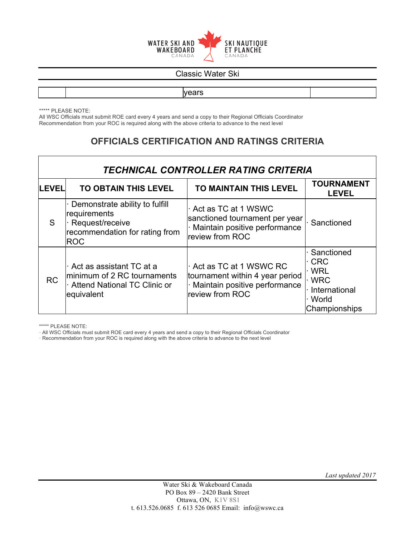

years

\*\*\*\*\* PLEASE NOTE:

All WSC Officials must submit ROE card every 4 years and send a copy to their Regional Officials Coordinator Recommendation from your ROC is required along with the above criteria to advance to the next level

### **OFFICIALS CERTIFICATION AND RATINGS CRITERIA**

| <b>TECHNICAL CONTROLLER RATING CRITERIA</b> |                                                                                                                     |                                                                                                                 |                                                                                                       |
|---------------------------------------------|---------------------------------------------------------------------------------------------------------------------|-----------------------------------------------------------------------------------------------------------------|-------------------------------------------------------------------------------------------------------|
| <b>LEVEL</b>                                | <b>TO OBTAIN THIS LEVEL</b>                                                                                         | TO MAINTAIN THIS LEVEL                                                                                          | <b>TOURNAMENT</b><br><b>LEVEL</b>                                                                     |
| S                                           | Demonstrate ability to fulfill<br>requirements<br>· Request/receive<br>recommendation for rating from<br><b>ROC</b> | Act as TC at 1 WSWC<br>sanctioned tournament per year<br>· Maintain positive performance<br>review from ROC     | Sanctioned                                                                                            |
| <b>RC</b>                                   | Act as assistant TC at a<br>minimum of 2 RC tournaments<br>Attend National TC Clinic or<br>equivalent               | Act as TC at 1 WSWC RC<br>tournament within 4 year period<br>· Maintain positive performance<br>review from ROC | Sanctioned<br>$\cdot$ CRC<br><b>WRL</b><br>$\cdot$ WRC<br>· International<br>· World<br>Championships |

\*\*\*\*\* PLEASE NOTE:

· All WSC Officials must submit ROE card every 4 years and send a copy to their Regional Officials Coordinator

· Recommendation from your ROC is required along with the above criteria to advance to the next level